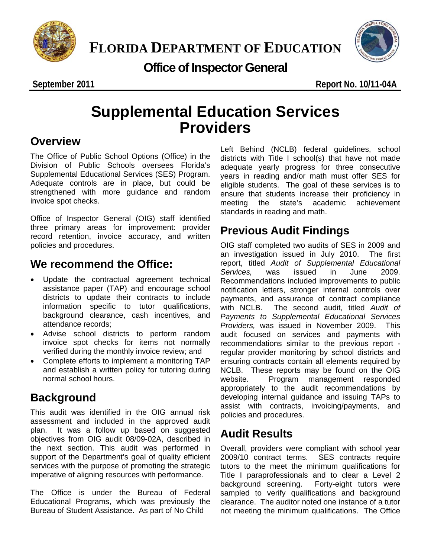



### **Office of Inspector General**

**September 2011 Report No. 10/11-04A** 

## **Supplemental Education Services Providers**

### **Overview**

The Office of Public School Options (Office) in the Division of Public Schools oversees Florida's Supplemental Educational Services (SES) Program. Adequate controls are in place, but could be strengthened with more guidance and random invoice spot checks.

Office of Inspector General (OIG) staff identified three primary areas for improvement: provider record retention, invoice accuracy, and written policies and procedures.

### **We recommend the Office:**

- Update the contractual agreement technical assistance paper (TAP) and encourage school districts to update their contracts to include information specific to tutor qualifications, background clearance, cash incentives, and attendance records;
- Advise school districts to perform random invoice spot checks for items not normally verified during the monthly invoice review; and
- Complete efforts to implement a monitoring TAP and establish a written policy for tutoring during normal school hours.

### **Background**

This audit was identified in the OIG annual risk assessment and included in the approved audit plan. It was a follow up based on suggested objectives from OIG audit 08/09-02A, described in the next section. This audit was performed in support of the Department's goal of quality efficient services with the purpose of promoting the strategic imperative of aligning resources with performance.

The Office is under the Bureau of Federal Educational Programs, which was previously the Bureau of Student Assistance. As part of No Child

Left Behind (NCLB) federal guidelines, school districts with Title I school(s) that have not made adequate yearly progress for three consecutive years in reading and/or math must offer SES for eligible students. The goal of these services is to ensure that students increase their proficiency in meeting the state's academic achievement standards in reading and math.

### **Previous Audit Findings**

OIG staff completed two audits of SES in 2009 and an investigation issued in July 2010. The first report, titled *Audit of Supplemental Educational Services,* was issued in June 2009. Recommendations included improvements to public notification letters, stronger internal controls over payments, and assurance of contract compliance with NCLB. The second audit, titled *Audit of Payments to Supplemental Educational Services Providers,* was issued in November 2009. This audit focused on services and payments with recommendations similar to the previous report regular provider monitoring by school districts and ensuring contracts contain all elements required by NCLB. These reports may be found on the OIG website. Program management responded appropriately to the audit recommendations by developing internal guidance and issuing TAPs to assist with contracts, invoicing/payments, and policies and procedures.

### **Audit Results**

Overall, providers were compliant with school year 2009/10 contract terms. SES contracts require tutors to the meet the minimum qualifications for Title I paraprofessionals and to clear a Level 2 background screening. Forty-eight tutors were sampled to verify qualifications and background clearance. The auditor noted one instance of a tutor not meeting the minimum qualifications. The Office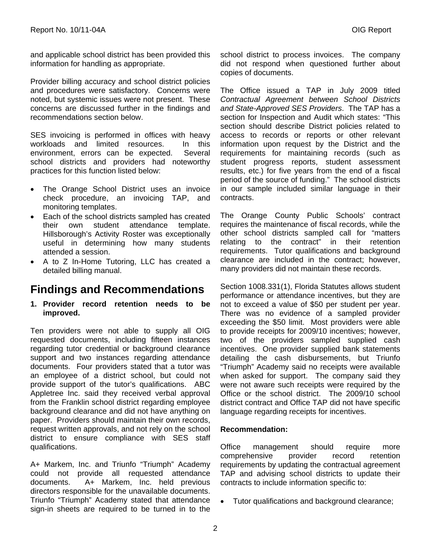and applicable school district has been provided this information for handling as appropriate.

Provider billing accuracy and school district policies and procedures were satisfactory. Concerns were noted, but systemic issues were not present. These concerns are discussed further in the findings and recommendations section below.

SES invoicing is performed in offices with heavy workloads and limited resources. In this environment, errors can be expected. Several school districts and providers had noteworthy practices for this function listed below:

- The Orange School District uses an invoice check procedure, an invoicing TAP, and monitoring templates.
- Each of the school districts sampled has created their own student attendance template. Hillsborough's Activity Roster was exceptionally useful in determining how many students attended a session.
- A to Z In-Home Tutoring, LLC has created a detailed billing manual.

### **Findings and Recommendations**

**1. Provider record retention needs to be improved.** 

Ten providers were not able to supply all OIG requested documents, including fifteen instances regarding tutor credential or background clearance support and two instances regarding attendance documents. Four providers stated that a tutor was an employee of a district school, but could not provide support of the tutor's qualifications. ABC Appletree Inc. said they received verbal approval from the Franklin school district regarding employee background clearance and did not have anything on paper. Providers should maintain their own records, request written approvals, and not rely on the school district to ensure compliance with SES staff qualifications.

A+ Markem, Inc. and Triunfo "Triumph" Academy could not provide all requested attendance documents. A+ Markem, Inc. held previous directors responsible for the unavailable documents. Triunfo "Triumph" Academy stated that attendance sign-in sheets are required to be turned in to the school district to process invoices. The company did not respond when questioned further about copies of documents.

The Office issued a TAP in July 2009 titled *Contractual Agreement between School Districts and State-Approved SES Providers*. The TAP has a section for Inspection and Audit which states: "This section should describe District policies related to access to records or reports or other relevant information upon request by the District and the requirements for maintaining records (such as student progress reports, student assessment results, etc.) for five years from the end of a fiscal period of the source of funding." The school districts in our sample included similar language in their contracts.

The Orange County Public Schools' contract requires the maintenance of fiscal records, while the other school districts sampled call for "matters relating to the contract" in their retention requirements. Tutor qualifications and background clearance are included in the contract; however, many providers did not maintain these records.

Section 1008.331(1), Florida Statutes allows student performance or attendance incentives, but they are not to exceed a value of \$50 per student per year. There was no evidence of a sampled provider exceeding the \$50 limit. Most providers were able to provide receipts for 2009/10 incentives; however, two of the providers sampled supplied cash incentives. One provider supplied bank statements detailing the cash disbursements, but Triunfo "Triumph" Academy said no receipts were available when asked for support. The company said they were not aware such receipts were required by the Office or the school district. The 2009/10 school district contract and Office TAP did not have specific language regarding receipts for incentives.

#### **Recommendation:**

Office management should require more comprehensive provider record retention requirements by updating the contractual agreement TAP and advising school districts to update their contracts to include information specific to:

• Tutor qualifications and background clearance;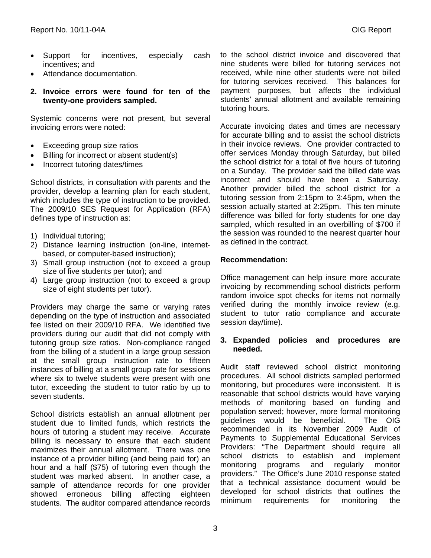- Support for incentives, especially cash incentives; and
- Attendance documentation.
- **2. Invoice errors were found for ten of the twenty-one providers sampled.**

Systemic concerns were not present, but several invoicing errors were noted:

- Exceeding group size ratios
- Billing for incorrect or absent student(s)
- Incorrect tutoring dates/times

School districts, in consultation with parents and the provider, develop a learning plan for each student, which includes the type of instruction to be provided. The 2009/10 SES Request for Application (RFA) defines type of instruction as:

- 1) Individual tutoring;
- 2) Distance learning instruction (on-line, internetbased, or computer-based instruction);
- 3) Small group instruction (not to exceed a group size of five students per tutor); and
- 4) Large group instruction (not to exceed a group size of eight students per tutor).

Providers may charge the same or varying rates depending on the type of instruction and associated fee listed on their 2009/10 RFA. We identified five providers during our audit that did not comply with tutoring group size ratios. Non-compliance ranged from the billing of a student in a large group session at the small group instruction rate to fifteen instances of billing at a small group rate for sessions where six to twelve students were present with one tutor, exceeding the student to tutor ratio by up to seven students.

School districts establish an annual allotment per student due to limited funds, which restricts the hours of tutoring a student may receive. Accurate billing is necessary to ensure that each student maximizes their annual allotment. There was one instance of a provider billing (and being paid for) an hour and a half (\$75) of tutoring even though the student was marked absent. In another case, a sample of attendance records for one provider showed erroneous billing affecting eighteen students. The auditor compared attendance records

to the school district invoice and discovered that nine students were billed for tutoring services not received, while nine other students were not billed for tutoring services received. This balances for payment purposes, but affects the individual students' annual allotment and available remaining tutoring hours.

Accurate invoicing dates and times are necessary for accurate billing and to assist the school districts in their invoice reviews. One provider contracted to offer services Monday through Saturday, but billed the school district for a total of five hours of tutoring on a Sunday. The provider said the billed date was incorrect and should have been a Saturday. Another provider billed the school district for a tutoring session from 2:15pm to 3:45pm, when the session actually started at 2:25pm. This ten minute difference was billed for forty students for one day sampled, which resulted in an overbilling of \$700 if the session was rounded to the nearest quarter hour as defined in the contract.

#### **Recommendation:**

Office management can help insure more accurate invoicing by recommending school districts perform random invoice spot checks for items not normally verified during the monthly invoice review (e.g. student to tutor ratio compliance and accurate session day/time).

#### **3. Expanded policies and procedures are needed.**

Audit staff reviewed school district monitoring procedures. All school districts sampled performed monitoring, but procedures were inconsistent. It is reasonable that school districts would have varying methods of monitoring based on funding and population served; however, more formal monitoring guidelines would be beneficial. The OIG recommended in its November 2009 Audit of Payments to Supplemental Educational Services Providers: "The Department should require all school districts to establish and implement monitoring programs and regularly monitor providers." The Office's June 2010 response stated that a technical assistance document would be developed for school districts that outlines the minimum requirements for monitoring the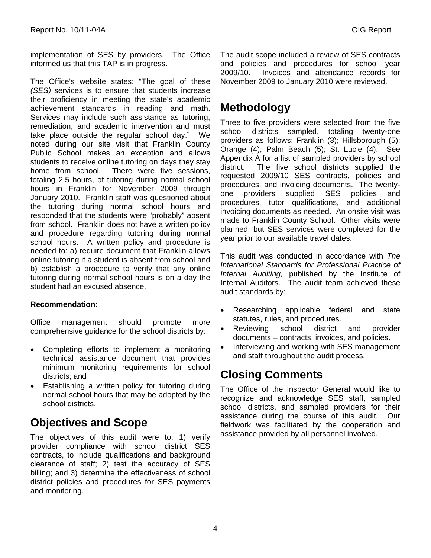implementation of SES by providers. The Office informed us that this TAP is in progress.

The Office's website states: "The goal of these *(SES)* services is to ensure that students increase their proficiency in meeting the state's academic achievement standards in reading and math. Services may include such assistance as tutoring, remediation, and academic intervention and must take place outside the regular school day." We noted during our site visit that Franklin County Public School makes an exception and allows students to receive online tutoring on days they stay home from school. There were five sessions, totaling 2.5 hours, of tutoring during normal school hours in Franklin for November 2009 through January 2010. Franklin staff was questioned about the tutoring during normal school hours and responded that the students were "probably" absent from school. Franklin does not have a written policy and procedure regarding tutoring during normal school hours. A written policy and procedure is needed to: a) require document that Franklin allows online tutoring if a student is absent from school and b) establish a procedure to verify that any online tutoring during normal school hours is on a day the student had an excused absence.

#### **Recommendation:**

Office management should promote more comprehensive guidance for the school districts by:

- Completing efforts to implement a monitoring technical assistance document that provides minimum monitoring requirements for school districts; and
- Establishing a written policy for tutoring during normal school hours that may be adopted by the school districts.

### **Objectives and Scope**

The objectives of this audit were to: 1) verify provider compliance with school district SES contracts, to include qualifications and background clearance of staff; 2) test the accuracy of SES billing; and 3) determine the effectiveness of school district policies and procedures for SES payments and monitoring.

The audit scope included a review of SES contracts and policies and procedures for school year 2009/10. Invoices and attendance records for November 2009 to January 2010 were reviewed.

### **Methodology**

Three to five providers were selected from the five school districts sampled, totaling twenty-one providers as follows: Franklin (3); Hillsborough (5); Orange (4); Palm Beach (5); St. Lucie (4). See Appendix A for a list of sampled providers by school district. The five school districts supplied the requested 2009/10 SES contracts, policies and procedures, and invoicing documents. The twentyone providers supplied SES policies and procedures, tutor qualifications, and additional invoicing documents as needed. An onsite visit was made to Franklin County School. Other visits were planned, but SES services were completed for the year prior to our available travel dates.

This audit was conducted in accordance with *The International Standards for Professional Practice of Internal Auditing,* published by the Institute of Internal Auditors. The audit team achieved these audit standards by:

- Researching applicable federal and state statutes, rules, and procedures.
- Reviewing school district and provider documents – contracts, invoices, and policies.
- Interviewing and working with SES management and staff throughout the audit process.

### **Closing Comments**

The Office of the Inspector General would like to recognize and acknowledge SES staff, sampled school districts, and sampled providers for their assistance during the course of this audit. Our fieldwork was facilitated by the cooperation and assistance provided by all personnel involved.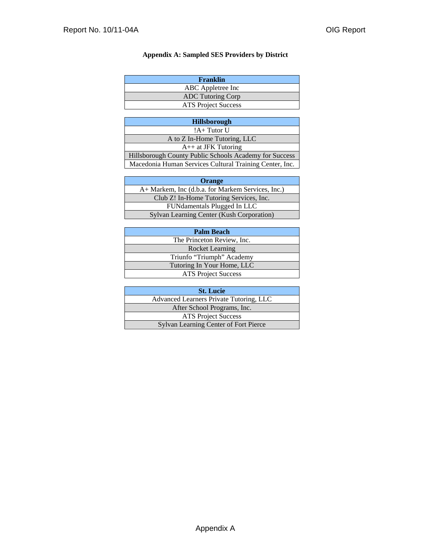#### **Appendix A: Sampled SES Providers by District**

| Franklin                   |
|----------------------------|
| ABC Appletree Inc          |
| <b>ADC</b> Tutoring Corp   |
| <b>ATS</b> Project Success |

| <b>Hillsborough</b>                                     |
|---------------------------------------------------------|
| $!A+Tutor U$                                            |
| A to Z In-Home Tutoring, LLC                            |
| $A++$ at JFK Tutoring                                   |
| Hillsborough County Public Schools Academy for Success  |
| Macedonia Human Services Cultural Training Center, Inc. |

| Orange                                            |
|---------------------------------------------------|
| A+ Markem, Inc (d.b.a. for Markem Services, Inc.) |
| Club Z! In-Home Tutoring Services, Inc.           |
| FUNdamentals Plugged In LLC                       |
| Sylvan Learning Center (Kush Corporation)         |

| <b>Palm Beach</b>          |
|----------------------------|
| The Princeton Review, Inc. |
| <b>Rocket Learning</b>     |
| Triunfo "Triumph" Academy  |
| Tutoring In Your Home, LLC |
| <b>ATS Project Success</b> |

| <b>St. Lucie</b>                             |
|----------------------------------------------|
| Advanced Learners Private Tutoring, LLC      |
| After School Programs, Inc.                  |
| <b>ATS</b> Project Success                   |
| <b>Sylvan Learning Center of Fort Pierce</b> |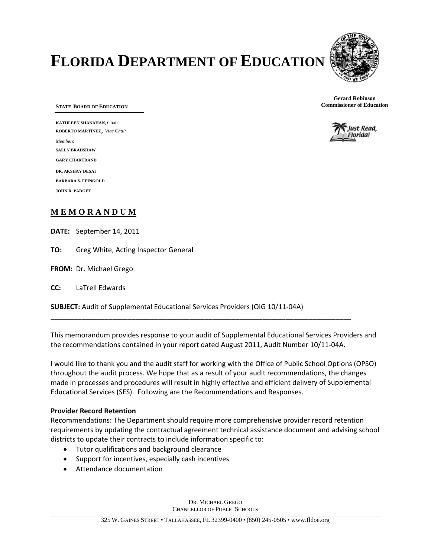# **FLORIDA DEPARTMENT OF EDUCATION**



**STATE BOARD OF EDUCATION**

**KATHLEEN SHANAHAN,** Chair **ROBERTO MARTÍNEZ**, *Vice Chair Members* **SALLY BRADSHAW GARY CHARTRAND DR. AKSHAY DESAI BARBARA S. FEINGOLD JOHN R. PADGET** 

#### **M E M O R A N D U M**

**DATE:**  September 14, 2011

**TO:** Greg White, Acting Inspector General

**FROM:** Dr. Michael Grego

**CC:** LaTrell Edwards

**SUBJECT:** Audit of Supplemental Educational Services Providers (OIG 10/11‐04A)

This memorandum provides response to your audit of Supplemental Educational Services Providers and the recommendations contained in your report dated August 2011, Audit Number 10/11‐04A.

\_\_\_\_\_\_\_\_\_\_\_\_\_\_\_\_\_\_\_\_\_\_\_\_\_\_\_\_\_\_\_\_\_\_\_\_\_\_\_\_\_\_\_\_\_\_\_\_\_\_\_\_\_\_\_\_\_\_\_\_\_\_\_\_\_\_\_\_\_\_\_\_\_\_\_\_\_\_

I would like to thank you and the audit staff for working with the Office of Public School Options (OPSO) throughout the audit process. We hope that as a result of your audit recommendations, the changes made in processes and procedures will result in highly effective and efficient delivery of Supplemental Educational Services (SES). Following are the Recommendations and Responses.

#### **Provider Record Retention**

Recommendations: The Department should require more comprehensive provider record retention requirements by updating the contractual agreement technical assistance document and advising school districts to update their contracts to include information specific to:

- Tutor qualifications and background clearance
- Support for incentives, especially cash incentives
- Attendance documentation

DR. MICHAEL GREGO CHANCELLOR OF PUBLIC SCHOOLS



**Gerard Robinson Commissioner of Education**